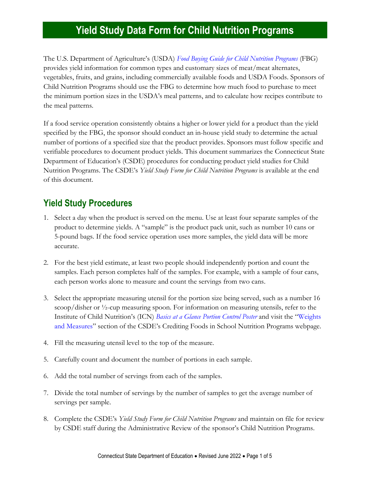The U.S. Department of Agriculture's (USDA) *[Food Buying Guide for Child Nutrition Programs](https://www.fns.usda.gov/tn/food-buying-guide-for-child-nutrition-programs)* (FBG) provides yield information for common types and customary sizes of meat/meat alternates, vegetables, fruits, and grains, including commercially available foods and USDA Foods. Sponsors of Child Nutrition Programs should use the FBG to determine how much food to purchase to meet the minimum portion sizes in the USDA's meal patterns, and to calculate how recipes contribute to the meal patterns.

If a food service operation consistently obtains a higher or lower yield for a product than the yield specified by the FBG, the sponsor should conduct an in-house yield study to determine the actual number of portions of a specified size that the product provides. Sponsors must follow specific and verifiable procedures to document product yields. This document summarizes the Connecticut State Department of Education's (CSDE) procedures for conducting product yield studies for Child Nutrition Programs. The CSDE's *Yield Study Form for Child Nutrition Programs* is available at the end of this document.

#### **Yield Study Procedures**

- 1. Select a day when the product is served on the menu. Use at least four separate samples of the product to determine yields. A "sample" is the product pack unit, such as number 10 cans or 5-pound bags. If the food service operation uses more samples, the yield data will be more accurate.
- 2. For the best yield estimate, at least two people should independently portion and count the samples. Each person completes half of the samples. For example, with a sample of four cans, each person works alone to measure and count the servings from two cans.
- 3. Select the appropriate measuring utensil for the portion size being served, such as a number 16 scoop/disher or ½-cup measuring spoon. For information on measuring utensils, refer to the Institute of Child Nutrition's (ICN) *[Basics at a Glance Portion Control Poster](https://theicn.org/icn-resources-a-z/basics-at-a-glance/)* and visit the "[Weights](https://portal.ct.gov/SDE/Nutrition/Crediting-Foods-in-School-Nutrition-Programs#WeightsMeasures)  [and Measures](https://portal.ct.gov/SDE/Nutrition/Crediting-Foods-in-School-Nutrition-Programs#WeightsMeasures)" section of the CSDE's Crediting Foods in School Nutrition Programs webpage.
- 4. Fill the measuring utensil level to the top of the measure.
- 5. Carefully count and document the number of portions in each sample.
- 6. Add the total number of servings from each of the samples.
- 7. Divide the total number of servings by the number of samples to get the average number of servings per sample.
- 8. Complete the CSDE's *Yield Study Form for Child Nutrition Programs* and maintain on file for review by CSDE staff during the Administrative Review of the sponsor's Child Nutrition Programs.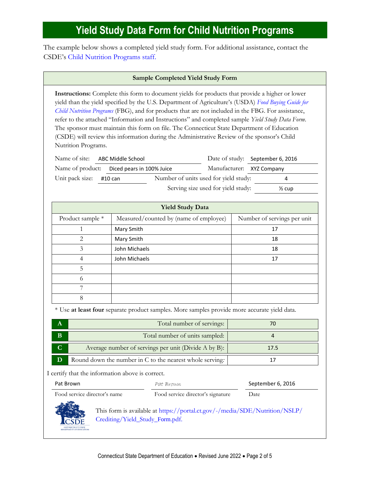The example below shows a completed yield study form. For additional assistance, contact the CSDE's [Child Nutrition Programs staff.](https://portal.ct.gov/SDE/Nutrition/Child-Nutrition-Programs/Contact)

#### **Sample Completed Yield Study Form**

**Instructions:** Complete this form to document yields for products that provide a higher or lower yield than the yield specified by the U.S. Department of Agriculture's (USDA) *[Food Buying Guide for](https://www.fns.usda.gov/tn/food-buying-guide-for-child-nutrition-programs)  [Child Nutrition Programs](https://www.fns.usda.gov/tn/food-buying-guide-for-child-nutrition-programs)* (FBG), and for products that are not included in the FBG*.* For assistance, refer to the attached "Information and Instructions" and completed sample *Yield Study Data Form*. The sponsor must maintain this form on file. The Connecticut State Department of Education (CSDE) will review this information during the Administrative Review of the sponsor's Child Nutrition Programs.

|                         | Name of site: ABC Middle School            |                                       | Date of study: September 6, 2016 |
|-------------------------|--------------------------------------------|---------------------------------------|----------------------------------|
|                         | Name of product: Diced pears in 100% Juice | Manufacturer: XYZ Company             |                                  |
| Unit pack size: #10 can |                                            | Number of units used for yield study: | 4                                |
|                         |                                            | Serving size used for yield study:    | $\frac{1}{2}$ cup                |

| <b>Yield Study Data</b> |                                        |                             |  |
|-------------------------|----------------------------------------|-----------------------------|--|
| Product sample *        | Measured/counted by (name of employee) | Number of servings per unit |  |
|                         | Mary Smith                             | 17                          |  |
| $\mathcal{L}$           | Mary Smith                             | 18                          |  |
| 3                       | John Michaels                          | 18                          |  |
| 4                       | John Michaels                          | 17                          |  |
| 5                       |                                        |                             |  |
| 6                       |                                        |                             |  |
|                         |                                        |                             |  |
| 8                       |                                        |                             |  |

\* Use **at least four** separate product samples. More samples provide more accurate yield data.

| A           | Total number of servings:                                |      |
|-------------|----------------------------------------------------------|------|
| B           | Total number of units sampled:                           |      |
| $\mathbf C$ | Average number of servings per unit (Divide A by B):     | 17.5 |
|             | Round down the number in C to the nearest whole serving. |      |

I certify that the information above is correct.

| Pat Brown<br>Food service director's name                   |                                 | Pat Brown                                                                   | September 6, 2016<br>Date |
|-------------------------------------------------------------|---------------------------------|-----------------------------------------------------------------------------|---------------------------|
|                                                             |                                 | Food service director's signature                                           |                           |
| CSDE<br><b>ENERGY BOOKS AND LOW UNIT HERE AND A WILLIAM</b> | Crediting/Yield_Study_Form.pdf. | This form is available at https://portal.ct.gov/-/media/SDE/Nutrition/NSLP/ |                           |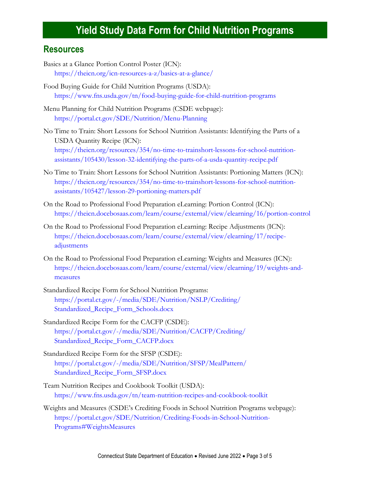#### **Resources**

- [Basics at a Glance Portion Control Poster](https://theicn.org/icn-resources-a-z/basics-at-a-glance/) (ICN): https://theicn.org/icn-resources-a-z/basics-at-a-glance/
- Food Buying Guide for Child Nutrition Programs (USDA): <https://www.fns.usda.gov/tn/food-buying-guide-for-child-nutrition-programs>
- Menu Planning for Child Nutrition Programs (CSDE webpage): [https://portal.ct.gov/SDE/Nutrition/Menu-Planning](http://portal.ct.gov/SDE/Nutrition/Menu-Planning)
- No Time to Train: Short Lessons for School Nutrition Assistants: Identifying the Parts of a USDA Quantity Recipe (ICN): [https://theicn.org/resources/354/no-time-to-trainshort-lessons-for-school-nutrition](https://theicn.org/resources/354/no-time-to-trainshort-lessons-for-school-nutrition-assistants/105430/lesson-32-identifying-the-parts-of-a-usda-quantity-recipe.pdf)[assistants/105430/lesson-32-identifying-the-parts-of-a-usda-quantity-recipe.pdf](https://theicn.org/resources/354/no-time-to-trainshort-lessons-for-school-nutrition-assistants/105430/lesson-32-identifying-the-parts-of-a-usda-quantity-recipe.pdf)
- No Time to Train: Short Lessons for School Nutrition Assistants: Portioning Matters (ICN): [https://theicn.org/resources/354/no-time-to-trainshort-lessons-for-school-nutrition](https://theicn.org/resources/354/no-time-to-trainshort-lessons-for-school-nutrition-assistants/105427/lesson-29-portioning-matters.pdf)[assistants/105427/lesson-29-portioning-matters.pdf](https://theicn.org/resources/354/no-time-to-trainshort-lessons-for-school-nutrition-assistants/105427/lesson-29-portioning-matters.pdf)
- On the Road to Professional Food Preparation eLearning: Portion Control (ICN): <https://theicn.docebosaas.com/learn/course/external/view/elearning/16/portion-control>
- On the Road to Professional Food Preparation eLearning: Recipe Adjustments (ICN): [https://theicn.docebosaas.com/learn/course/external/view/elearning/17/recipe](https://theicn.docebosaas.com/learn/course/external/view/elearning/17/recipe-adjustments)[adjustments](https://theicn.docebosaas.com/learn/course/external/view/elearning/17/recipe-adjustments)
- On the Road to Professional Food Preparation eLearning: Weights and Measures (ICN): [https://theicn.docebosaas.com/learn/course/external/view/elearning/19/weights-and](https://theicn.docebosaas.com/learn/course/external/view/elearning/19/weights-and-measures)[measures](https://theicn.docebosaas.com/learn/course/external/view/elearning/19/weights-and-measures)
- Standardized Recipe Form for School Nutrition Programs: [https://portal.ct.gov/-/media/SDE/Nutrition/NSLP/Crediting/](https://portal.ct.gov/-/media/SDE/Nutrition/NSLP/Crediting/Standardized_Recipe_Form_Schools.docx) [Standardized\\_Recipe\\_Form\\_Schools.docx](https://portal.ct.gov/-/media/SDE/Nutrition/NSLP/Crediting/Standardized_Recipe_Form_Schools.docx)
- Standardized Recipe Form for the CACFP (CSDE): [https://portal.ct.gov/-/media/SDE/Nutrition/CACFP/Crediting/](https://portal.ct.gov/-/media/SDE/Nutrition/CACFP/Crediting/Standardized_Recipe_Form_CACFP.docx) [Standardized\\_Recipe\\_Form\\_CACFP.docx](https://portal.ct.gov/-/media/SDE/Nutrition/CACFP/Crediting/Standardized_Recipe_Form_CACFP.docx)
- Standardized Recipe Form for the SFSP (CSDE): [https://portal.ct.gov/-/media/SDE/Nutrition/SFSP/MealPattern/](https://portal.ct.gov/-/media/SDE/Nutrition/SFSP/MealPattern/Standardized_Recipe_Form_SFSP.docx) [Standardized\\_Recipe\\_Form\\_SFSP.docx](https://portal.ct.gov/-/media/SDE/Nutrition/SFSP/MealPattern/Standardized_Recipe_Form_SFSP.docx)
- Team Nutrition Recipes and Cookbook Toolkit (USDA): <https://www.fns.usda.gov/tn/team-nutrition-recipes-and-cookbook-toolkit>
- Weights and Measures (CSDE's Crediting Foods in School Nutrition Programs webpage): [https://portal.ct.gov/SDE/Nutrition/Crediting-Foods-in-School-Nutrition-](https://portal.ct.gov/SDE/Nutrition/Crediting-Foods-in-School-Nutrition-Programs#WeightsMeasures)[Programs#WeightsMeasures](https://portal.ct.gov/SDE/Nutrition/Crediting-Foods-in-School-Nutrition-Programs#WeightsMeasures)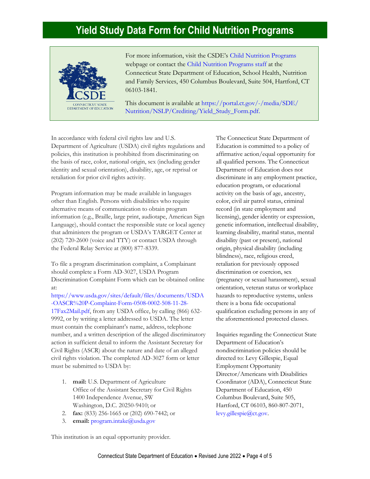

For more information, visit the CSDE's [Child Nutrition Programs](https://portal.ct.gov/SDE/Nutrition/Child-Nutrition-Programs/Contact) webpage or contact th[e Child Nutrition Programs staff](https://portal.ct.gov/SDE/Nutrition/Child-Nutrition-Programs/Contact) at the Connecticut State Department of Education, School Health, Nutrition and Family Services, 450 Columbus Boulevard, Suite 504, Hartford, CT 06103-1841.

This document is available at [https://portal.ct.gov/-/media/SDE/](https://portal.ct.gov/-/media/SDE/Nutrition/NSLP/Crediting/Yield_Study_Form.pdf) [Nutrition/NSLP/Crediting/Yield\\_Study\\_Form.pdf.](https://portal.ct.gov/-/media/SDE/Nutrition/NSLP/Crediting/Yield_Study_Form.pdf)

In accordance with federal civil rights law and U.S. Department of Agriculture (USDA) civil rights regulations and policies, this institution is prohibited from discriminating on the basis of race, color, national origin, sex (including gender identity and sexual orientation), disability, age, or reprisal or retaliation for prior civil rights activity.

Program information may be made available in languages other than English. Persons with disabilities who require alternative means of communication to obtain program information (e.g., Braille, large print, audiotape, American Sign Language), should contact the responsible state or local agency that administers the program or USDA's TARGET Center at (202) 720-2600 (voice and TTY) or contact USDA through the Federal Relay Service at (800) 877-8339.

To file a program discrimination complaint, a Complainant should complete a Form AD-3027, USDA Program Discrimination Complaint Form which can be obtained online at:

[https://www.usda.gov/sites/default/files/documents/USDA](https://www.usda.gov/sites/default/files/documents/USDA-OASCR%20P-Complaint-Form-0508-0002-508-11-28-17Fax2Mail.pdf) [-OASCR%20P-Complaint-Form-0508-0002-508-11-28-](https://www.usda.gov/sites/default/files/documents/USDA-OASCR%20P-Complaint-Form-0508-0002-508-11-28-17Fax2Mail.pdf) [17Fax2Mail.pdf,](https://www.usda.gov/sites/default/files/documents/USDA-OASCR%20P-Complaint-Form-0508-0002-508-11-28-17Fax2Mail.pdf) from any USDA office, by calling (866) 632- 9992, or by writing a letter addressed to USDA. The letter must contain the complainant's name, address, telephone number, and a written description of the alleged discriminatory action in sufficient detail to inform the Assistant Secretary for Civil Rights (ASCR) about the nature and date of an alleged civil rights violation. The completed AD-3027 form or letter must be submitted to USDA by:

- 1. **mail:** U.S. Department of Agriculture Office of the Assistant Secretary for Civil Rights 1400 Independence Avenue, SW Washington, D.C. 20250-9410; or
- 2. **fax:** (833) 256-1665 or (202) 690-7442; or
- 3. **email:** [program.intake@usda.gov](http://mailto:program.intake@usda.gov/)

This institution is an equal opportunity provider.

The Connecticut State Department of Education is committed to a policy of affirmative action/equal opportunity for all qualified persons. The Connecticut Department of Education does not discriminate in any employment practice, education program, or educational activity on the basis of age, ancestry, color, civil air patrol status, criminal record (in state employment and licensing), gender identity or expression, genetic information, intellectual disability, learning disability, marital status, mental disability (past or present), national origin, physical disability (including blindness), race, religious creed, retaliation for previously opposed discrimination or coercion, sex (pregnancy or sexual harassment), sexual orientation, veteran status or workplace hazards to reproductive systems, unless there is a bona fide occupational qualification excluding persons in any of the aforementioned protected classes.

Inquiries regarding the Connecticut State Department of Education's nondiscrimination policies should be directed to: Levy Gillespie, Equal Employment Opportunity Director/Americans with Disabilities Coordinator (ADA), Connecticut State Department of Education, 450 Columbus Boulevard, Suite 505, Hartford, CT 06103, 860-807-2071, [levy.gillespie@ct.gov.](mailto:levy.gillespie@ct.gov)